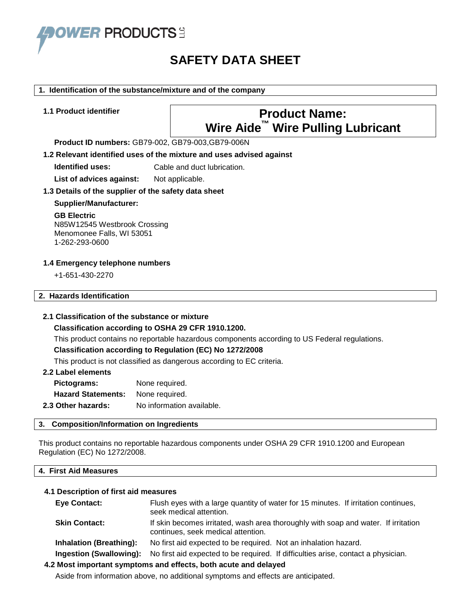

# **SAFETY DATA SHEET**

#### **1. Identification of the substance/mixture and of the company**

# **1.1 Product identifier Product Name: Wire Aide™ Wire Pulling Lubricant**

**Product ID numbers:** GB79-002, GB79-003,GB79-006N

#### **1.2 Relevant identified uses of the mixture and uses advised against**

**Identified uses:** Cable and duct lubrication.

List of advices against: Not applicable.

#### **1.3 Details of the supplier of the safety data sheet**

**Supplier/Manufacturer:**

#### **GB Electric**

N85W12545 Westbrook Crossing Menomonee Falls, WI 53051 1-262-293-0600

#### **1.4 Emergency telephone numbers**

+1-651-430-2270

# **2. Hazards Identification**

#### **2.1 Classification of the substance or mixture**

#### **Classification according to OSHA 29 CFR 1910.1200.**

This product contains no reportable hazardous components according to US Federal regulations.

#### **Classification according to Regulation (EC) No 1272/2008**

This product is not classified as dangerous according to EC criteria.

# **2.2 Label elements**

| Pictograms:               | None required.            |
|---------------------------|---------------------------|
| <b>Hazard Statements:</b> | None required.            |
| 2.3 Other hazards:        | No information available. |

#### **3. Composition/Information on Ingredients**

This product contains no reportable hazardous components under OSHA 29 CFR 1910.1200 and European Regulation (EC) No 1272/2008.

### **4. First Aid Measures**

#### **4.1 Description of first aid measures**

| <b>Eye Contact:</b>            | Flush eyes with a large quantity of water for 15 minutes. If irritation continues,<br>seek medical attention.            |
|--------------------------------|--------------------------------------------------------------------------------------------------------------------------|
| <b>Skin Contact:</b>           | If skin becomes irritated, wash area thoroughly with soap and water. If irritation<br>continues, seek medical attention. |
| <b>Inhalation (Breathing):</b> | No first aid expected to be required. Not an inhalation hazard.                                                          |
| Ingestion (Swallowing):        | No first aid expected to be required. If difficulties arise, contact a physician.                                        |
|                                | ) Most important symptoms and offects, both acute and delayed                                                            |

# **4.2 Most important symptoms and effects, both acute and delayed**

Aside from information above, no additional symptoms and effects are anticipated.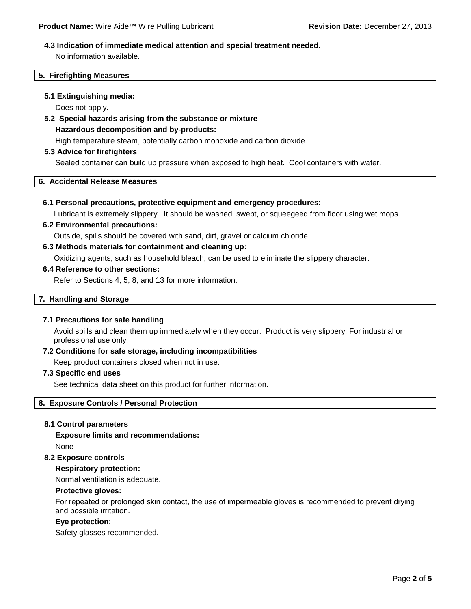#### **4.3 Indication of immediate medical attention and special treatment needed.**

No information available.

#### **5. Firefighting Measures**

#### **5.1 Extinguishing media:**

Does not apply.

# **5.2 Special hazards arising from the substance or mixture**

#### **Hazardous decomposition and by-products:**

High temperature steam, potentially carbon monoxide and carbon dioxide.

#### **5.3 Advice for firefighters**

Sealed container can build up pressure when exposed to high heat. Cool containers with water.

# **6. Accidental Release Measures**

#### **6.1 Personal precautions, protective equipment and emergency procedures:**

Lubricant is extremely slippery. It should be washed, swept, or squeegeed from floor using wet mops.

#### **6.2 Environmental precautions:**

Outside, spills should be covered with sand, dirt, gravel or calcium chloride.

#### **6.3 Methods materials for containment and cleaning up:**

Oxidizing agents, such as household bleach, can be used to eliminate the slippery character.

#### **6.4 Reference to other sections:**

Refer to Sections 4, 5, 8, and 13 for more information.

#### **7. Handling and Storage**

#### **7.1 Precautions for safe handling**

Avoid spills and clean them up immediately when they occur. Product is very slippery. For industrial or professional use only.

#### **7.2 Conditions for safe storage, including incompatibilities**

Keep product containers closed when not in use.

#### **7.3 Specific end uses**

See technical data sheet on this product for further information.

#### **8. Exposure Controls / Personal Protection**

#### **8.1 Control parameters**

**Exposure limits and recommendations:** None

#### **8.2 Exposure controls**

### **Respiratory protection:**

Normal ventilation is adequate.

#### **Protective gloves:**

For repeated or prolonged skin contact, the use of impermeable gloves is recommended to prevent drying and possible irritation.

#### **Eye protection:**

Safety glasses recommended.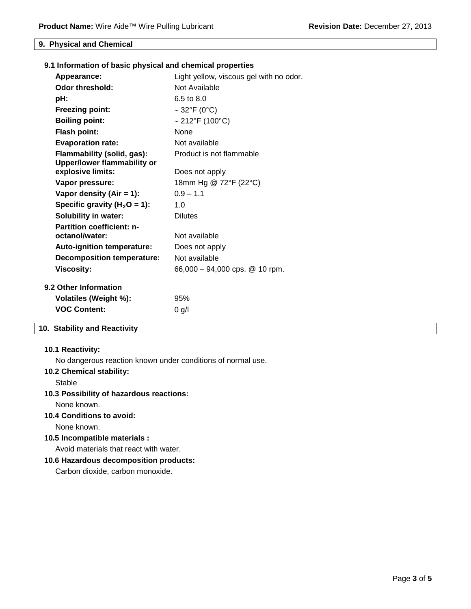#### **9. Physical and Chemical**

| 9.1 Information of basic physical and chemical properties |                                         |
|-----------------------------------------------------------|-----------------------------------------|
| Appearance:                                               | Light yellow, viscous gel with no odor. |
| <b>Odor threshold:</b>                                    | Not Available                           |
| pH:                                                       | 6.5 to 8.0                              |
| <b>Freezing point:</b>                                    | $\sim$ 32°F (0°C)                       |
| <b>Boiling point:</b>                                     | $\sim$ 212°F (100°C)                    |
| Flash point:                                              | <b>None</b>                             |
| <b>Evaporation rate:</b>                                  | Not available                           |
| Flammability (solid, gas):                                | Product is not flammable                |
| <b>Upper/lower flammability or</b>                        |                                         |
| explosive limits:                                         | Does not apply                          |
| Vapor pressure:                                           | 18mm Hg @ 72°F (22°C)                   |
| Vapor density (Air = 1):                                  | $0.9 - 1.1$                             |
| Specific gravity ( $H_2O = 1$ ):                          | 1.0                                     |
| <b>Solubility in water:</b>                               | <b>Dilutes</b>                          |
| <b>Partition coefficient: n-</b>                          |                                         |
| octanol/water:                                            | Not available                           |
| Auto-ignition temperature:                                | Does not apply                          |
| <b>Decomposition temperature:</b>                         | Not available                           |
| <b>Viscosity:</b>                                         | 66,000 - 94,000 cps. $@$ 10 rpm.        |
| 9.2 Other Information                                     |                                         |
| Volatiles (Weight %):                                     | 95%                                     |
| <b>VOC Content:</b>                                       | 0 g/l                                   |

# **10. Stability and Reactivity**

#### **10.1 Reactivity:**

No dangerous reaction known under conditions of normal use.

#### **10.2 Chemical stability:**

Stable

### **10.3 Possibility of hazardous reactions:**

None known.

#### **10.4 Conditions to avoid:**

None known.

# **10.5 Incompatible materials :**

Avoid materials that react with water.

#### **10.6 Hazardous decomposition products:**

Carbon dioxide, carbon monoxide.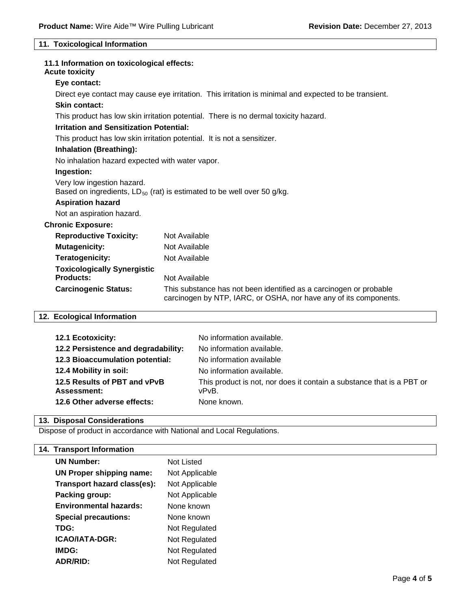### **11. Toxicological Information**

| 11.1 Information on toxicological effects:<br><b>Acute toxicity</b>                                                                                                    |  |
|------------------------------------------------------------------------------------------------------------------------------------------------------------------------|--|
| Eye contact:                                                                                                                                                           |  |
| Direct eye contact may cause eye irritation. This irritation is minimal and expected to be transient.                                                                  |  |
| Skin contact:                                                                                                                                                          |  |
| This product has low skin irritation potential. There is no dermal toxicity hazard.                                                                                    |  |
| <b>Irritation and Sensitization Potential:</b>                                                                                                                         |  |
| This product has low skin irritation potential. It is not a sensitizer.                                                                                                |  |
| <b>Inhalation (Breathing):</b>                                                                                                                                         |  |
| No inhalation hazard expected with water vapor.                                                                                                                        |  |
| Ingestion:                                                                                                                                                             |  |
| Very low ingestion hazard.<br>Based on ingredients, $LD_{50}$ (rat) is estimated to be well over 50 g/kg.                                                              |  |
| <b>Aspiration hazard</b>                                                                                                                                               |  |
| Not an aspiration hazard.                                                                                                                                              |  |
| <b>Chronic Exposure:</b>                                                                                                                                               |  |
| <b>Reproductive Toxicity:</b><br>Not Available                                                                                                                         |  |
| <b>Mutagenicity:</b><br>Not Available                                                                                                                                  |  |
| Not Available<br>Teratogenicity:                                                                                                                                       |  |
| <b>Toxicologically Synergistic</b>                                                                                                                                     |  |
| Products:<br>Not Available                                                                                                                                             |  |
| <b>Carcinogenic Status:</b><br>This substance has not been identified as a carcinogen or probable<br>carcinogen by NTP, IARC, or OSHA, nor have any of its components. |  |

# **12. Ecological Information**

| 12.1 Ecotoxicity:                                  | No information available.                                                      |
|----------------------------------------------------|--------------------------------------------------------------------------------|
| 12.2 Persistence and degradability:                | No information available.                                                      |
| 12.3 Bioaccumulation potential:                    | No information available                                                       |
| 12.4 Mobility in soil:                             | No information available.                                                      |
| 12.5 Results of PBT and vPvB<br><b>Assessment:</b> | This product is not, nor does it contain a substance that is a PBT or<br>vPvB. |
| 12.6 Other adverse effects:                        | None known.                                                                    |

#### **13. Disposal Considerations**

Dispose of product in accordance with National and Local Regulations.

#### **14. Transport Information**

| <b>UN Number:</b>             | <b>Not Listed</b> |
|-------------------------------|-------------------|
| UN Proper shipping name:      | Not Applicable    |
| Transport hazard class(es):   | Not Applicable    |
| Packing group:                | Not Applicable    |
| <b>Environmental hazards:</b> | None known        |
| <b>Special precautions:</b>   | None known        |
| TDG:                          | Not Regulated     |
| <b>ICAO/IATA-DGR:</b>         | Not Regulated     |
| IMDG:                         | Not Regulated     |
| <b>ADR/RID:</b>               | Not Regulated     |